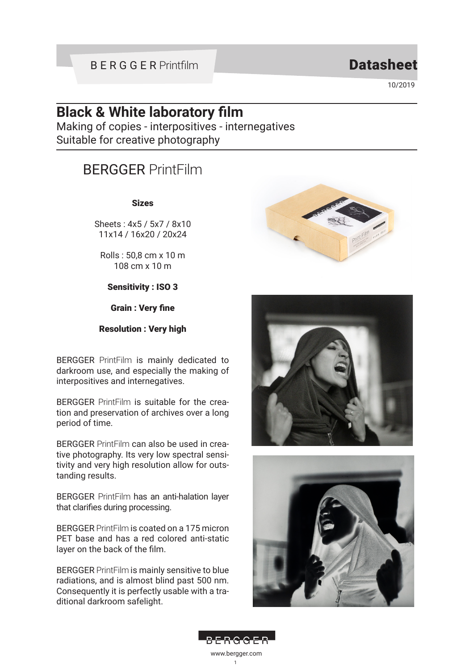## BERGGER Printfilm

## **Datasheet**

10/2019

# **Black & White laboratory film**

Making of copies - interpositives - internegatives Suitable for creative photography

# BERGGER PrintFilm

#### Sizes

Sheets : 4x5 / 5x7 / 8x10 11x14 / 16x20 / 20x24

Rolls : 50,8 cm x 10 m 108 cm x 10 m

Sensitivity : ISO 3

Grain : Very fine

#### Resolution : Very high

BERGGER PrintFilm is mainly dedicated to darkroom use, and especially the making of interpositives and internegatives.

BERGGER PrintFilm is suitable for the creation and preservation of archives over a long period of time.

BERGGER PrintFilm can also be used in creative photography. Its very low spectral sensitivity and very high resolution allow for outstanding results.

BERGGER PrintFilm has an anti-halation layer that clarifies during processing.

BERGGER PrintFilm is coated on a 175 micron PET base and has a red colored anti-static layer on the back of the film.

BERGGER PrintFilm is mainly sensitive to blue radiations, and is almost blind past 500 nm. Consequently it is perfectly usable with a traditional darkroom safelight.







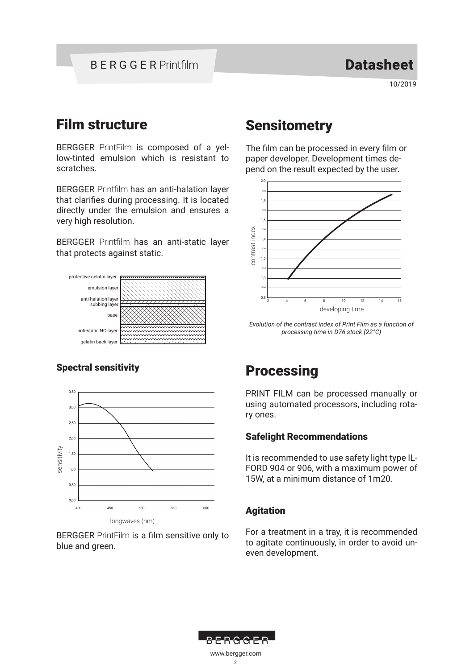10/2019

# Film structure

BERGGER PrintFilm is composed of a yellow-tinted emulsion which is resistant to scratches.

BERGGER Printfilm has an anti-halation layer that clarifies during processing. It is located directly under the emulsion and ensures a very high resolution.

BERGGER Printfilm has an anti-static layer that protects against static.



### Spectral sensitivity



BERGGER PrintFilm is a film sensitive only to

# **Sensitometry**

The film can be processed in every film or paper developer. Development times depend on the result expected by the user.



*Evolution of the contrast index of Print Film as a function of processing time in D76 stock (22°C)*

# **Processing**

PRINT FILM can be processed manually or using automated processors, including rotary ones.

### Safelight Recommendations

It is recommended to use safety light type IL-FORD 904 or 906, with a maximum power of 15W, at a minimum distance of 1m20.

### Agitation

For a treatment in a tray, it is recommended to agitate continuously, in order to avoid uneven development.